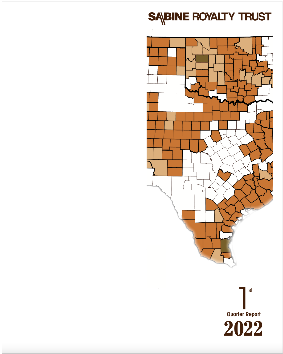



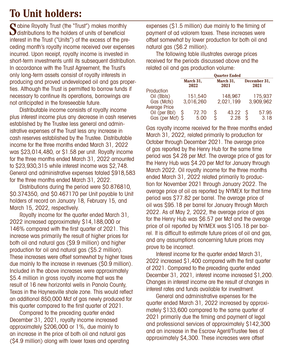# **To Unit holders:**

C abine Royalty Trust (the "Trust") makes monthly  $\bigcup$  distributions to the holders of units of beneficial interest in the Trust ("Units") of the excess of the preceding month's royalty income received over expenses incurred. Upon receipt, royalty income is invested in short-term investments until its subsequent distribution. In accordance with the Trust Agreement, the Trust's only long-term assets consist of royalty interests in producing and proved undeveloped oil and gas properties. Although the Trust is permitted to borrow funds if necessary to continue its operations, borrowings are not anticipated in the foreseeable future.

Distributable income consists of royalty income plus interest income plus any decrease in cash reserves established by the Trustee less general and administrative expenses of the Trust less any increase in cash reserves established by the Trustee. Distributable income for the three months ended March 31, 2022 was \$23,014,480, or \$1.58 per unit. Royalty income for the three months ended March 31, 2022 amounted to \$23,930,315 while interest income was \$2,748. General and administrative expenses totaled \$918,583 for the three months ended March 31, 2022.

Distributions during the period were \$0.876810, \$0.374350, and \$0.467170 per Unit payable to Unit holders of record on January 18, February 15, and March 15, 2022, respectively.

Royalty income for the quarter ended March 31, 2022 increased approximately \$14,188,000 or 146% compared with the first quarter of 2021. This increase was primarily the result of higher prices for both oil and natural gas (\$9.9 million) and higher production for oil and natural gas (\$5.2 million). These increases were offset somewhat by higher taxes due mainly to the increase in revenues (\$0.9 million). Included in the above increases were approximately \$5.4 million in gross royalty income that was the result of 16 new horizontal wells in Panola County, Texas in the Haynesville shale zone. This would reflect an additional 850,000 Mcf of gas newly produced for this quarter compared to the first quarter of 2021.

Compared to the preceding quarter ended December 31, 2021, royalty income increased approximately \$206,000 or 1%, due mainly to an increase in the price of both oil and natural gas (\$4.9 million) along with lower taxes and operating expenses (\$1.5 million) due mainly to the timing of payment of ad valorem taxes. These increases were offset somewhat by lower production for both oil and natural gas (\$6.2 million).

The following table illustrates average prices received for the periods discussed above and the related oil and gas production volume:

|                      | <b>Ouarter Ended</b> |                   |   |                   |   |                      |
|----------------------|----------------------|-------------------|---|-------------------|---|----------------------|
|                      |                      | March 31,<br>2022 |   | March 31,<br>2021 |   | December 31,<br>2021 |
| Production           |                      |                   |   |                   |   |                      |
| Oil (Bbls)           |                      | 151,540           |   | 148,967           |   | 175,937              |
| Gas (Mcfs)           |                      | 3,016,260         |   | 2,021,199         |   | 3,909,962            |
| <b>Average Price</b> |                      |                   |   |                   |   |                      |
| Oil (per Bbl)        | S                    | 72.70             | S | 43.22             | S | 57.95                |
| Gas (per Mcf) \$     |                      | 5.00              | S | 2.28              |   | 3.18                 |

Gas royalty income received for the three months ended March 31, 2022, related primarily to production for October through December 2021. The average price of gas reported by the Henry Hub for the same time period was \$4.28 per Mcf. The average price of gas for the Henry Hub was \$4.20 per Mcf for January through March 2022. Oil royalty income for the three months ended March 31, 2022 related primarily to production for November 2021 through January 2022. The average price of oil as reported by NYMEX for that time period was \$77.82 per barrel. The average price of oil was \$95.18 per barrel for January through March 2022. As of May 2, 2022, the average price of gas for the Henry Hub was \$6.57 per Mcf and the average price of oil reported by NYMEX was \$105.18 per barrel. It is difficult to estimate future prices of oil and gas, and any assumptions concerning future prices may prove to be incorrect.

Interest income for the quarter ended March 31, 2022 increased \$1,400 compared with the first quarter of 2021. Compared to the preceding quarter ended December 31, 2021, interest income increased \$1,200. Changes in interest income are the result of changes in interest rates and funds available for investment.

General and administrative expenses for the quarter ended March 31, 2022 increased by approximately \$133,600 compared to the same quarter of 2021 primarily due the timing and payment of legal and professional services of approximately \$142,300 and an increase in the Escrow Agent/Trustee fees of approximately \$4,300. These increases were offset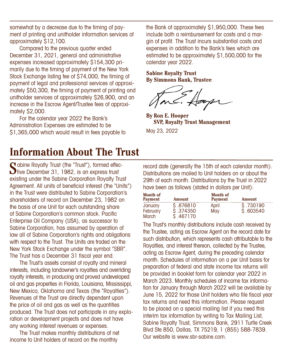somewhat by a decrease due to the timing of payment of printing and unitholder information services of approximately \$12,100.

Compared to the previous quarter ended December 31, 2021, general and administrative expenses increased approximately \$154,300 primarily due to the timing of payment of the New York Stock Exchange listing fee of \$74,000, the timing of payment of legal and professional services of approximately \$50,300, the timing of payment of printing and unitholder services of approximately \$26,900, and an increase in the Escrow Agent/Trustee fees of approximately \$2,000.

For the calendar year 2022 the Bank's Administration Expenses are estimated to be \$1,365,000 which would result in fees payable to

## **Information About The Trust**

Sabine Royalty Trust (the "Trust"), formed effective December 31, 1982, is an express trust existing under the Sabine Corporation Royalty Trust Agreement. All units of beneficial interest (the "Units") in the Trust were distributed to Sabine Corporation's shareholders of record on December 23, 1982 on the basis of one Unit for each outstanding share of Sabine Corporation's common stock. Pacific Enterprise Oil Company (USA), as successor to Sabine Corporation, has assumed by operation of law all of Sabine Corporation's rights and obligations with respect to the Trust. The Units are traded on the New York Stock Exchange under the symbol "SBR". The Trust has a December 31 fiscal year end.

The Trust's assets consist of royalty and mineral interests, including landowner's royalties and overriding royalty interests, in producing and proved undeveloped oil and gas properties in Florida, Louisiana, Mississippi, New Mexico, Oklahoma and Texas (the "Royalties"). Revenues of the Trust are directly dependent upon the price of oil and gas as well as the quantities produced. The Trust does not participate in any exploration or development projects and does not have any working interest revenues or expenses.

The Trust makes monthly distributions of net income to Unit holders of record on the monthly

the Bank of approximately \$1,950,000. These fees include both a reimbursement for costs and a margin of profit. The Trust incurs substantial costs and expenses in addition to the Bank's fees which are estimated to be approximately \$1,500,000 for the calendar year 2022.

**Sabine Royalty Trust By Simmons Bank, Trustee**

**By Ron E. Hooper SVP, Royalty Trust Management** May 23, 2022

record date (generally the 15th of each calendar month). Distributions are mailed to Unit holders on or about the 29th of each month. Distributions by the Trust in 2022 have been as follows (stated in dollars per Unit):

| <b>Month of</b><br><b>Payment</b> | Amount                  | <b>Month of</b><br><b>Payment</b> | <b>Amount</b> |
|-----------------------------------|-------------------------|-----------------------------------|---------------|
| January                           | \$ 876810               | April                             | \$ .730190    |
| February<br>March                 | \$ .374350<br>\$.467170 | May                               | \$ 603540     |

The Trust's monthly distributions include cash received by the Trustee, acting as Escrow Agent on the record date for such distribution, which represents cash attributable to the Royalties, and interest thereon, collected by the Trustee, acting as Escrow Agent, during the preceding calendar month. Schedules of information on a per Unit basis for preparation of federal and state income tax returns will be provided in booklet form for calendar year 2022 in March 2023. Monthly schedules of income tax information for January through March 2022 will be available by June 15, 2022 for those Unit holders who file fiscal year tax returns and need this information. Please request to be placed on a special mailing list if you need this interim tax information by writing to Tax Mailing List, Sabine Royalty Trust, Simmons Bank, 2911 Turtle Creek Blvd Ste 850, Dallas, TX 75219, 1 (855) 588-7839. Our website is www.sbr-sabine.com.